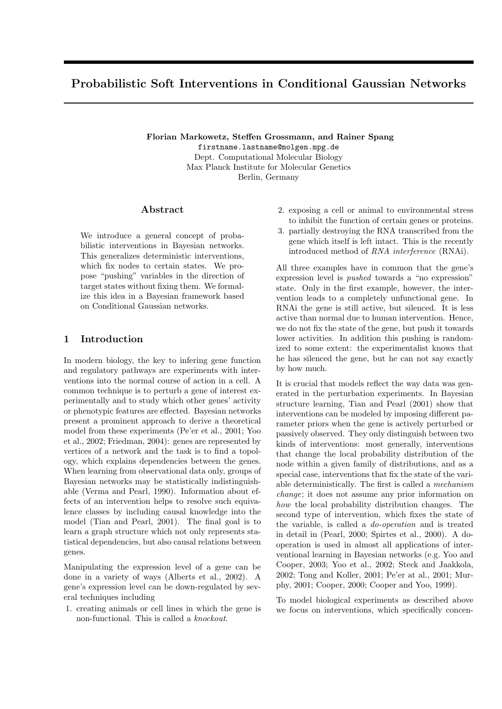# Probabilistic Soft Interventions in Conditional Gaussian Networks

Florian Markowetz, Steffen Grossmann, and Rainer Spang firstname.lastname@molgen.mpg.de Dept. Computational Molecular Biology Max Planck Institute for Molecular Genetics Berlin, Germany

## Abstract

We introduce a general concept of probabilistic interventions in Bayesian networks. This generalizes deterministic interventions, which fix nodes to certain states. We propose "pushing" variables in the direction of target states without fixing them. We formalize this idea in a Bayesian framework based on Conditional Gaussian networks.

## 1 Introduction

In modern biology, the key to infering gene function and regulatory pathways are experiments with interventions into the normal course of action in a cell. A common technique is to perturb a gene of interest experimentally and to study which other genes' activity or phenotypic features are effected. Bayesian networks present a prominent approach to derive a theoretical model from these experiments (Pe'er et al., 2001; Yoo et al., 2002; Friedman, 2004): genes are represented by vertices of a network and the task is to find a topology, which explains dependencies between the genes. When learning from observational data only, groups of Bayesian networks may be statistically indistinguishable (Verma and Pearl, 1990). Information about effects of an intervention helps to resolve such equivalence classes by including causal knowledge into the model (Tian and Pearl, 2001). The final goal is to learn a graph structure which not only represents statistical dependencies, but also causal relations between genes.

Manipulating the expression level of a gene can be done in a variety of ways (Alberts et al., 2002). A gene's expression level can be down-regulated by several techniques including

1. creating animals or cell lines in which the gene is non-functional. This is called a knockout.

- <span id="page-0-0"></span>2. exposing a cell or animal to environmental stress to inhibit the function of certain genes or proteins.
- <span id="page-0-1"></span>3. partially destroying the RNA transcribed from the gene which itself is left intact. This is the recently introduced method of RNA interference (RNAi).

All three examples have in common that the gene's expression level is pushed towards a "no expression" state. Only in the first example, however, the intervention leads to a completely unfunctional gene. In RNAi the gene is still active, but silenced. It is less active than normal due to human intervention. Hence, we do not fix the state of the gene, but push it towards lower activities. In addition this pushing is randomized to some extent: the experimentalist knows that he has silenced the gene, but he can not say exactly by how much.

It is crucial that models reflect the way data was generated in the perturbation experiments. In Bayesian structure learning, Tian and Pearl (2001) show that interventions can be modeled by imposing different parameter priors when the gene is actively perturbed or passively observed. They only distinguish between two kinds of interventions: most generally, interventions that change the local probability distribution of the node within a given family of distributions, and as a special case, interventions that fix the state of the variable deterministically. The first is called a mechanism change; it does not assume any prior information on how the local probability distribution changes. The second type of intervention, which fixes the state of the variable, is called a do-operation and is treated in detail in (Pearl, 2000; Spirtes et al., 2000). A dooperation is used in almost all applications of interventional learning in Bayesian networks (e.g. Yoo and Cooper, 2003; Yoo et al., 2002; Steck and Jaakkola, 2002; Tong and Koller, 2001; Pe'er at al., 2001; Murphy, 2001; Cooper, 2000; Cooper and Yoo, 1999).

To model biological experiments as described above we focus on interventions, which specifically concen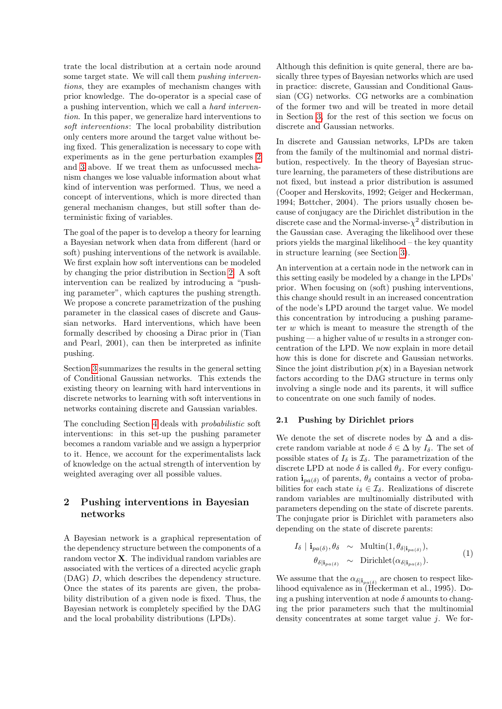trate the local distribution at a certain node around some target state. We will call them pushing interventions, they are examples of mechanism changes with prior knowledge. The do-operator is a special case of a pushing intervention, which we call a hard intervention. In this paper, we generalize hard interventions to soft interventions: The local probability distribution only centers more around the target value without being fixed. This generalization is necessary to cope with experiments as in the gene perturbation examples [2](#page-0-0) and [3](#page-0-1) above. If we treat them as unfocussed mechanism changes we lose valuable information about what kind of intervention was performed. Thus, we need a concept of interventions, which is more directed than general mechanism changes, but still softer than deterministic fixing of variables.

The goal of the paper is to develop a theory for learning a Bayesian network when data from different (hard or soft) pushing interventions of the network is available. We first explain how soft interventions can be modeled by changing the prior distribution in Section [2.](#page-1-0) A soft intervention can be realized by introducing a "pushing parameter", which captures the pushing strength. We propose a concrete parametrization of the pushing parameter in the classical cases of discrete and Gaussian networks. Hard interventions, which have been formally described by choosing a Dirac prior in (Tian and Pearl, 2001), can then be interpreted as infinite pushing.

Section [3](#page-3-0) summarizes the results in the general setting of Conditional Gaussian networks. This extends the existing theory on learning with hard interventions in discrete networks to learning with soft interventions in networks containing discrete and Gaussian variables.

The concluding Section [4](#page-5-0) deals with probabilistic soft interventions: in this set-up the pushing parameter becomes a random variable and we assign a hyperprior to it. Hence, we account for the experimentalists lack of knowledge on the actual strength of intervention by weighted averaging over all possible values.

## <span id="page-1-0"></span>2 Pushing interventions in Bayesian networks

A Bayesian network is a graphical representation of the dependency structure between the components of a random vector X. The individual random variables are associated with the vertices of a directed acyclic graph (DAG) D, which describes the dependency structure. Once the states of its parents are given, the probability distribution of a given node is fixed. Thus, the Bayesian network is completely specified by the DAG and the local probability distributions (LPDs).

Although this definition is quite general, there are basically three types of Bayesian networks which are used in practice: discrete, Gaussian and Conditional Gaussian (CG) networks. CG networks are a combination of the former two and will be treated in more detail in Section [3,](#page-3-0) for the rest of this section we focus on discrete and Gaussian networks.

In discrete and Gaussian networks, LPDs are taken from the family of the multinomial and normal distribution, respectively. In the theory of Bayesian structure learning, the parameters of these distributions are not fixed, but instead a prior distribution is assumed (Cooper and Herskovits, 1992; Geiger and Heckerman, 1994; Bøttcher, 2004). The priors usually chosen because of conjugacy are the Dirichlet distribution in the discrete case and the Normal-inverse- $\chi^2$  distribution in the Gaussian case. Averaging the likelihood over these priors yields the marginal likelihood – the key quantity in structure learning (see Section [3\)](#page-3-0).

An intervention at a certain node in the network can in this setting easily be modeled by a change in the LPDs' prior. When focusing on (soft) pushing interventions, this change should result in an increased concentration of the node's LPD around the target value. We model this concentration by introducing a pushing parameter  $w$  which is meant to measure the strength of the pushing — a higher value of w results in a stronger concentration of the LPD. We now explain in more detail how this is done for discrete and Gaussian networks. Since the joint distribution  $p(x)$  in a Bayesian network factors according to the DAG structure in terms only involving a single node and its parents, it will suffice to concentrate on one such family of nodes.

#### 2.1 Pushing by Dirichlet priors

We denote the set of discrete nodes by  $\Delta$  and a discrete random variable at node  $\delta \in \Delta$  by  $I_{\delta}$ . The set of possible states of  $I_{\delta}$  is  $\mathcal{I}_{\delta}$ . The parametrization of the discrete LPD at node  $\delta$  is called  $\theta_{\delta}$ . For every configuration  $\mathbf{i}_{pa(\delta)}$  of parents,  $\theta_{\delta}$  contains a vector of probabilities for each state  $i_{\delta} \in \mathcal{I}_{\delta}$ . Realizations of discrete random variables are multinomially distributed with parameters depending on the state of discrete parents. The conjugate prior is Dirichlet with parameters also depending on the state of discrete parents:

$$
I_{\delta} \mid \mathbf{i}_{pa(\delta)}, \theta_{\delta} \sim \text{Multi}(1, \theta_{\delta | \mathbf{i}_{pa(\delta)}}),
$$
  
\n
$$
\theta_{\delta | \mathbf{i}_{pa(\delta)}} \sim \text{Dirichlet}(\alpha_{\delta | \mathbf{i}_{pa(\delta)}}). \tag{1}
$$

We assume that the  $\alpha_{\delta|i_{pa(\delta)}}$  are chosen to respect likelihood equivalence as in (Heckerman et al., 1995). Doing a pushing intervention at node  $\delta$  amounts to changing the prior parameters such that the multinomial density concentrates at some target value  $i$ . We for-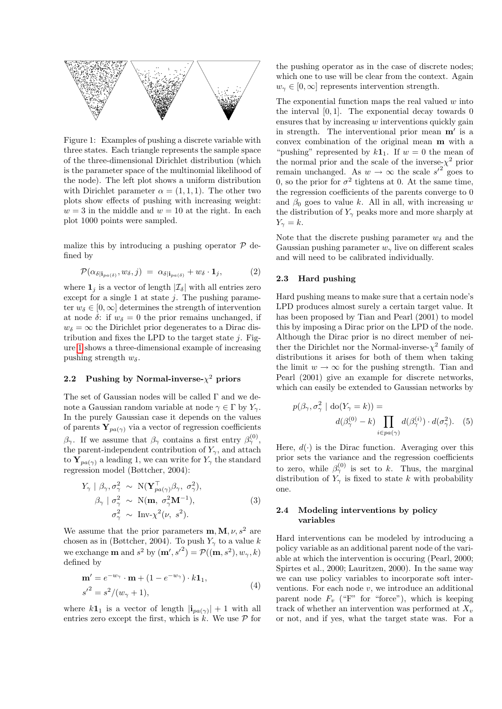

<span id="page-2-0"></span>Figure 1: Examples of pushing a discrete variable with three states. Each triangle represents the sample space of the three-dimensional Dirichlet distribution (which is the parameter space of the multinomial likelihood of the node). The left plot shows a uniform distribution with Dirichlet parameter  $\alpha = (1, 1, 1)$ . The other two plots show effects of pushing with increasing weight:  $w = 3$  in the middle and  $w = 10$  at the right. In each plot 1000 points were sampled.

malize this by introducing a pushing operator  $\mathcal P$  defined by

<span id="page-2-1"></span>
$$
\mathcal{P}(\alpha_{\delta|\mathbf{i}_{pa(\delta)}}, w_{\delta}, j) = \alpha_{\delta|\mathbf{i}_{pa(\delta)}} + w_{\delta} \cdot \mathbf{1}_j, \tag{2}
$$

where  $\mathbf{1}_j$  is a vector of length  $|\mathcal{I}_{\delta}|$  with all entries zero except for a single 1 at state  $j$ . The pushing parameter  $w_{\delta} \in [0,\infty]$  determines the strength of intervention at node  $\delta$ : if  $w_{\delta} = 0$  the prior remains unchanged, if  $w_{\delta} = \infty$  the Dirichlet prior degenerates to a Dirac distribution and fixes the LPD to the target state  $i$ . Figure [1](#page-2-0) shows a three-dimensional example of increasing pushing strength  $w_{\delta}$ .

## 2.2 Pushing by Normal-inverse- $\chi^2$  priors

The set of Gaussian nodes will be called Γ and we denote a Gaussian random variable at node  $\gamma \in \Gamma$  by  $Y_{\gamma}$ . In the purely Gaussian case it depends on the values of parents  $Y_{pa(\gamma)}$  via a vector of regression coefficients  $\beta_{\gamma}$ . If we assume that  $\beta_{\gamma}$  contains a first entry  $\beta_{\gamma}^{(0)}$ , the parent-independent contribution of  $Y_{\gamma}$ , and attach to  $Y_{pa(\gamma)}$  a leading 1, we can write for  $Y_{\gamma}$  the standard regression model (Bøttcher, 2004):

$$
Y_{\gamma} | \beta_{\gamma}, \sigma_{\gamma}^{2} \sim N(\mathbf{Y}_{pa(\gamma)}^{T} \beta_{\gamma}, \sigma_{\gamma}^{2}),
$$
  
\n
$$
\beta_{\gamma} | \sigma_{\gamma}^{2} \sim N(\mathbf{m}, \sigma_{\gamma}^{2} \mathbf{M}^{-1}),
$$
  
\n
$$
\sigma_{\gamma}^{2} \sim \text{Inv-}\chi^{2}(\nu, s^{2}).
$$
\n(3)

We assume that the prior parameters  $\mathbf{m}, \mathbf{M}, \nu, s^2$  are chosen as in (Bøttcher, 2004). To push  $Y_{\gamma}$  to a value k we exchange **m** and  $s^2$  by  $(\mathbf{m}', s'^2) = \mathcal{P}((\mathbf{m}, s^2), w_\gamma, k)$ defined by

<span id="page-2-2"></span>
$$
\mathbf{m}' = e^{-w_{\gamma}} \cdot \mathbf{m} + (1 - e^{-w_{\gamma}}) \cdot k \mathbf{1}_{1},
$$
  
\n
$$
s'^{2} = s^{2}/(w_{\gamma} + 1),
$$
\n(4)

where  $k\mathbf{1}_1$  is a vector of length  $|\mathbf{i}_{pa(\gamma)}| + 1$  with all entries zero except the first, which is  $\ddot{k}$ . We use  $\mathcal P$  for the pushing operator as in the case of discrete nodes; which one to use will be clear from the context. Again  $w_{\gamma} \in [0,\infty]$  represents intervention strength.

The exponential function maps the real valued  $w$  into the interval  $[0, 1]$ . The exponential decay towards 0 ensures that by increasing w interventions quickly gain in strength. The interventional prior mean  $m'$  is a convex combination of the original mean m with a "pushing" represented by  $k\mathbf{1}_1$ . If  $w = 0$  the mean of the normal prior and the scale of the inverse- $\chi^2$  prior remain unchanged. As  $w \to \infty$  the scale  $s'^2$  goes to 0, so the prior for  $\sigma^2$  tightens at 0. At the same time, the regression coefficients of the parents converge to 0 and  $\beta_0$  goes to value k. All in all, with increasing w the distribution of  $Y_{\gamma}$  peaks more and more sharply at  $Y_{\gamma} = k.$ 

Note that the discrete pushing parameter  $w_{\delta}$  and the Gaussian pushing parameter  $w_{\gamma}$  live on different scales and will need to be calibrated individually.

#### 2.3 Hard pushing

Hard pushing means to make sure that a certain node's LPD produces almost surely a certain target value. It has been proposed by Tian and Pearl (2001) to model this by imposing a Dirac prior on the LPD of the node. Although the Dirac prior is no direct member of neither the Dirichlet nor the Normal-inverse- $\chi^2$  family of distributions it arises for both of them when taking the limit  $w \to \infty$  for the pushing strength. Tian and Pearl (2001) give an example for discrete networks, which can easily be extended to Gaussian networks by

<span id="page-2-4"></span>
$$
p(\beta_{\gamma}, \sigma_{\gamma}^{2} \mid \text{do}(Y_{\gamma} = k)) =
$$

$$
d(\beta_{\gamma}^{(0)} - k) \prod_{i \in pa(\gamma)} d(\beta_{\gamma}^{(i)}) \cdot d(\sigma_{\gamma}^{2}).
$$
 (5)

<span id="page-2-3"></span>Here,  $d(\cdot)$  is the Dirac function. Averaging over this prior sets the variance and the regression coefficients to zero, while  $\beta_{\gamma}^{(0)}$  is set to k. Thus, the marginal distribution of  $Y_{\gamma}$  is fixed to state k with probability one.

## 2.4 Modeling interventions by policy variables

Hard interventions can be modeled by introducing a policy variable as an additional parent node of the variable at which the intervention is occuring (Pearl, 2000; Spirtes et al., 2000; Lauritzen, 2000). In the same way we can use policy variables to incorporate soft interventions. For each node  $v$ , we introduce an additional parent node  $F_v$  ("F" for "force"), which is keeping track of whether an intervention was performed at  $X_v$ or not, and if yes, what the target state was. For a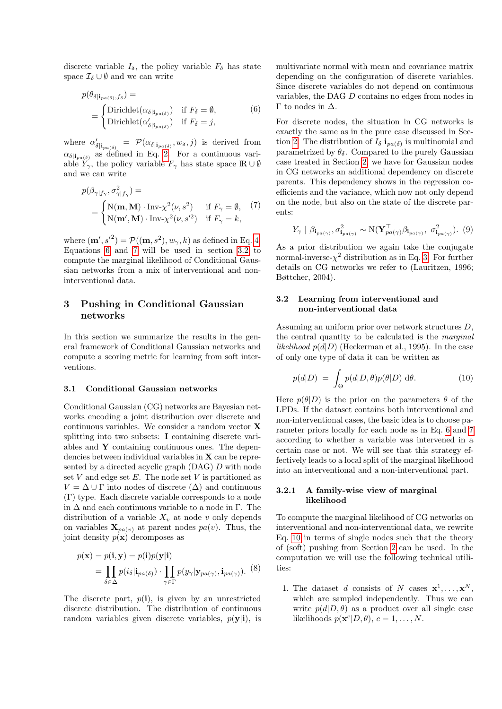discrete variable  $I_{\delta}$ , the policy variable  $F_{\delta}$  has state space  $\mathcal{I}_{\delta} \cup \emptyset$  and we can write

<span id="page-3-1"></span>
$$
p(\theta_{\delta|i_{pa(\delta)},f_{\delta}}) =
$$
  
= 
$$
\begin{cases} \text{Dirichlet}(\alpha_{\delta|i_{pa(\delta)}}) & \text{if } F_{\delta} = \emptyset, \\ \text{Dirichlet}(\alpha'_{\delta|i_{pa(\delta)}}) & \text{if } F_{\delta} = j, \end{cases}
$$
 (6)

where  $\alpha'_{\delta|\mathbf{i}_{pa(\delta)}} = \mathcal{P}(\alpha_{\delta|\mathbf{i}_{pa(\delta)}}, w_{\delta}, j)$  is derived from  $\alpha_{\delta|i_{pa}(\delta)}$  as defined in Eq. [2.](#page-2-1) For a continuous variable  $Y_{\gamma}$ , the policy variable  $F_{\gamma}$  has state space  $\mathbb{R} \cup \emptyset$ and we can write

<span id="page-3-2"></span>
$$
p(\beta_{\gamma|f_{\gamma}}, \sigma_{\gamma|f_{\gamma}}^2) =
$$
  
= 
$$
\begin{cases} \text{N}(\mathbf{m}, \mathbf{M}) \cdot \text{Inv-}\chi^2(\nu, s^2) & \text{if } F_{\gamma} = \emptyset, \\ \text{N}(\mathbf{m}', \mathbf{M}) \cdot \text{Inv-}\chi^2(\nu, s'^2) & \text{if } F_{\gamma} = k, \end{cases}
$$
 (7)

where  $(\mathbf{m}', s'^2) = \mathcal{P}((\mathbf{m}, s^2), w_\gamma, k)$  as defined in Eq. [4.](#page-2-2) Equations [6](#page-3-1) and [7](#page-3-2) will be used in section [3.2](#page-3-3) to compute the marginal likelihood of Conditional Gaussian networks from a mix of interventional and noninterventional data.

## <span id="page-3-0"></span>3 Pushing in Conditional Gaussian networks

In this section we summarize the results in the general framework of Conditional Gaussian networks and compute a scoring metric for learning from soft interventions.

#### 3.1 Conditional Gaussian networks

Conditional Gaussian (CG) networks are Bayesian networks encoding a joint distribution over discrete and continuous variables. We consider a random vector X splitting into two subsets: I containing discrete variables and  $\bf{Y}$  containing continuous ones. The dependencies between individual variables in X can be represented by a directed acyclic graph (DAG) D with node set V and edge set E. The node set V is partitioned as  $V = \Delta \cup \Gamma$  into nodes of discrete  $(\Delta)$  and continuous (Γ) type. Each discrete variable corresponds to a node in  $\Delta$  and each continuous variable to a node in Γ. The distribution of a variable  $X_v$  at node v only depends on variables  $\mathbf{X}_{pa(v)}$  at parent nodes  $pa(v)$ . Thus, the joint density  $p(\mathbf{x})$  decomposes as

$$
p(\mathbf{x}) = p(\mathbf{i}, \mathbf{y}) = p(\mathbf{i})p(\mathbf{y}|\mathbf{i})
$$
  
= 
$$
\prod_{\delta \in \Delta} p(i_{\delta}|\mathbf{i}_{pa(\delta)}) \cdot \prod_{\gamma \in \Gamma} p(y_{\gamma}|\mathbf{y}_{pa(\gamma)}, \mathbf{i}_{pa(\gamma)}).
$$
 (8)

The discrete part,  $p(i)$ , is given by an unrestricted discrete distribution. The distribution of continuous random variables given discrete variables,  $p(\mathbf{y}|\mathbf{i})$ , is multivariate normal with mean and covariance matrix depending on the configuration of discrete variables. Since discrete variables do not depend on continuous variables, the DAG D contains no edges from nodes in Γ to nodes in  $Δ$ .

For discrete nodes, the situation in CG networks is exactly the same as in the pure case discussed in Sec-tion [2:](#page-1-0) The distribution of  $I_{\delta}$   $|i_{pa(\delta)}\rangle$  is multinomial and parametrized by  $\theta_{\delta}$ . Compared to the purely Gaussian case treated in Section [2,](#page-1-0) we have for Gaussian nodes in CG networks an additional dependency on discrete parents. This dependency shows in the regression coefficients and the variance, which now not only depend on the node, but also on the state of the discrete parents:

$$
Y_{\gamma} \mid \beta_{\mathbf{i}_{pa(\gamma)}}, \sigma^2_{\mathbf{i}_{pa(\gamma)}} \sim \mathrm{N}(\mathbf{Y}_{pa(\gamma)}^\top \beta_{\mathbf{i}_{pa(\gamma)}}, \ \sigma^2_{\mathbf{i}_{pa(\gamma)}}). \ (9)
$$

As a prior distribution we again take the conjugate normal-inverse- $\chi^2$  distribution as in Eq. [3.](#page-2-3) For further details on CG networks we refer to (Lauritzen, 1996; Bøttcher, 2004).

## <span id="page-3-3"></span>3.2 Learning from interventional and non-interventional data

Assuming an uniform prior over network structures D, the central quantity to be calculated is the marginal likelihood  $p(d|D)$  (Heckerman et al., 1995). In the case of only one type of data it can be written as

<span id="page-3-4"></span>
$$
p(d|D) = \int_{\Theta} p(d|D,\theta)p(\theta|D) d\theta.
$$
 (10)

Here  $p(\theta|D)$  is the prior on the parameters  $\theta$  of the LPDs. If the dataset contains both interventional and non-interventional cases, the basic idea is to choose parameter priors locally for each node as in Eq. [6](#page-3-1) and [7](#page-3-2) according to whether a variable was intervened in a certain case or not. We will see that this strategy effectively leads to a local split of the marginal likelihood into an interventional and a non-interventional part.

#### 3.2.1 A family-wise view of marginal likelihood

<span id="page-3-5"></span>To compute the marginal likelihood of CG networks on interventional and non-interventional data, we rewrite Eq. [10](#page-3-4) in terms of single nodes such that the theory of (soft) pushing from Section [2](#page-1-0) can be used. In the computation we will use the following technical utilities:

1. The dataset d consists of N cases  $\mathbf{x}^1, \ldots, \mathbf{x}^N$ , which are sampled independently. Thus we can write  $p(d|D, \theta)$  as a product over all single case likelihoods  $p(\mathbf{x}^c|D, \theta), c = 1, ..., N$ .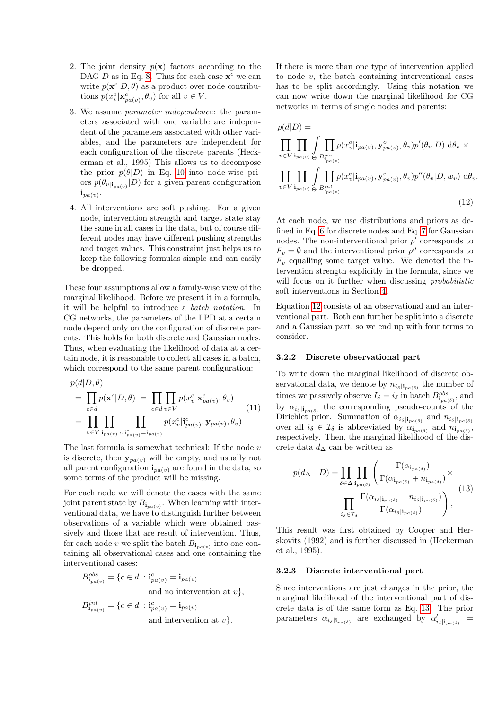- 2. The joint density  $p(x)$  factors according to the DAG D as in Eq. [8.](#page-3-5) Thus for each case  $x^c$  we can write  $p(\mathbf{x}^c|D, \theta)$  as a product over node contributions  $p(x_v^c | \mathbf{x}_{pa(v)}^c, \theta_v)$  for all  $v \in V$ .
- 3. We assume parameter independence: the parameters associated with one variable are independent of the parameters associated with other variables, and the parameters are independent for each configuration of the discrete parents (Heckerman et al., 1995) This allows us to decompose the prior  $p(\theta|D)$  in Eq. [10](#page-3-4) into node-wise priors  $p(\theta_{v|i_{pa(v)}}|D)$  for a given parent configuration  $\mathbf{i}_{pa(v)}$ .
- 4. All interventions are soft pushing. For a given node, intervention strength and target state stay the same in all cases in the data, but of course different nodes may have different pushing strengths and target values. This constraint just helps us to keep the following formulas simple and can easily be dropped.

These four assumptions allow a family-wise view of the marginal likelihood. Before we present it in a formula, it will be helpful to introduce a batch notation. In CG networks, the parameters of the LPD at a certain node depend only on the configuration of discrete parents. This holds for both discrete and Gaussian nodes. Thus, when evaluating the likelihood of data at a certain node, it is reasonable to collect all cases in a batch, which correspond to the same parent configuration:

$$
p(d|D, \theta)
$$
  
= 
$$
\prod_{c \in d} p(\mathbf{x}^c|D, \theta) = \prod_{c \in d} \prod_{v \in V} p(x_v^c | \mathbf{x}_{pa(v)}^c, \theta_v)
$$
  
= 
$$
\prod_{v \in V} \prod_{\mathbf{i}_{pa(v)} c : \mathbf{i}_{pa(v)}^c = \mathbf{i}_{pa(v)}} p(x_v^c | \mathbf{i}_{pa(v)}^c, \mathbf{y}_{pa(v)}, \theta_v)
$$
 (11)

The last formula is somewhat technical: If the node  $v$ is discrete, then  $y_{pa(v)}$  will be empty, and usually not all parent configuration  $\mathbf{i}_{pa(v)}$  are found in the data, so some terms of the product will be missing.

For each node we will denote the cases with the same joint parent state by  $B_{\mathbf{i}_{pa(v)}}$ . When learning with interventional data, we have to distinguish further between observations of a variable which were obtained passively and those that are result of intervention. Thus, for each node v we split the batch  $B_{\mathbf{i}_{pa}(v)}$  into one containing all observational cases and one containing the interventional cases:

$$
B_{\mathbf{i}_{pa(v)}}^{obs} = \{c \in d \, : \mathbf{i}_{pa(v)}^c = \mathbf{i}_{pa(v)}
$$
  
and no intervention at  $v\}$ ,  

$$
B_{\mathbf{i}_{pa(v)}}^{int} = \{c \in d \, : \mathbf{i}_{pa(v)}^c = \mathbf{i}_{pa(v)}
$$
  
and intervention at  $v\}$ .

If there is more than one type of intervention applied to node  $v$ , the batch containing interventional cases has to be split accordingly. Using this notation we can now write down the marginal likelihood for CG networks in terms of single nodes and parents:

<span id="page-4-0"></span>
$$
p(d|D) = \prod_{v \in V} \prod_{\mathbf{i}_{pa(v)}} \int \prod_{B_{pa(v)}^{obs}} p(x_v^o | \mathbf{i}_{pa(v)}, \mathbf{y}_{pa(v)}^o, \theta_v) p'(\theta_v | D) d\theta_v \times
$$
  

$$
\prod_{v \in V} \prod_{\mathbf{i}_{pa(v)}} \int \prod_{B_{pa(v)}^{int}} p(x_v^e | \mathbf{i}_{pa(v)}, \mathbf{y}_{pa(v)}^e, \theta_v) p''(\theta_v | D, w_v) d\theta_v.
$$
  
(12)

At each node, we use distributions and priors as defined in Eq. [6](#page-3-1) for discrete nodes and Eq. [7](#page-3-2) for Gaussian nodes. The non-interventional prior  $p'$  corresponds to  $F_v = \emptyset$  and the interventional prior  $p''$  corresponds to  $F_v$  equalling some target value. We denoted the intervention strength explicitly in the formula, since we will focus on it further when discussing *probabilistic* soft interventions in Section [4.](#page-5-0)

Equation [12](#page-4-0) consists of an observational and an interventional part. Both can further be split into a discrete and a Gaussian part, so we end up with four terms to consider.

#### 3.2.2 Discrete observational part

To write down the marginal likelihood of discrete observational data, we denote by  $n_{i_{\delta}|i_{pa(\delta)}}$  the number of times we passively observe  $I_{\delta} = i_{\delta}$  in batch  $B_{\mathbf{i}_{pa(\delta)}}^{obs}$ , and by  $\alpha_{i_{\delta}|i_{pa(\delta)}}$  the corresponding pseudo-counts of the Dirichlet prior. Summation of  $\alpha_{i_{\delta}|\mathbf{i}_{pa(\delta)}}$  and  $n_{i_{\delta}|\mathbf{i}_{pa(\delta)}}$ over all  $i_{\delta} \in \mathcal{I}_{\delta}$  is abbreviated by  $\alpha_{\mathbf{i}_{pa(\delta)}}$  and  $n_{\mathbf{i}_{pa(\delta)}},$ respectively. Then, the marginal likelihood of the discrete data  $d_{\Delta}$  can be written as

<span id="page-4-1"></span>
$$
p(d_{\Delta} \mid D) = \prod_{\delta \in \Delta} \prod_{\mathbf{i}_{pa(\delta)}} \left( \frac{\Gamma(\alpha_{\mathbf{i}_{pa(\delta)}})}{\Gamma(\alpha_{\mathbf{i}_{pa(\delta)}} + n_{\mathbf{i}_{pa(\delta)}})} \times \frac{\prod_{i_{\delta} \in \mathcal{I}_{\delta}} \Gamma(\alpha_{i_{\delta}|\mathbf{i}_{pa(\delta)}} + n_{i_{\delta}|\mathbf{i}_{pa(\delta)}})}{\Gamma(\alpha_{i_{\delta}|\mathbf{i}_{pa(\delta)}})} \right),
$$
(13)

This result was first obtained by Cooper and Herskovits (1992) and is further discussed in (Heckerman et al., 1995).

#### 3.2.3 Discrete interventional part

Since interventions are just changes in the prior, the marginal likelihood of the interventional part of discrete data is of the same form as Eq. [13.](#page-4-1) The prior parameters  $\alpha_{i_{\delta}|i_{pa(\delta)}}$  are exchanged by  $\alpha'_{i_{\delta}|i_{pa(\delta)}}$  =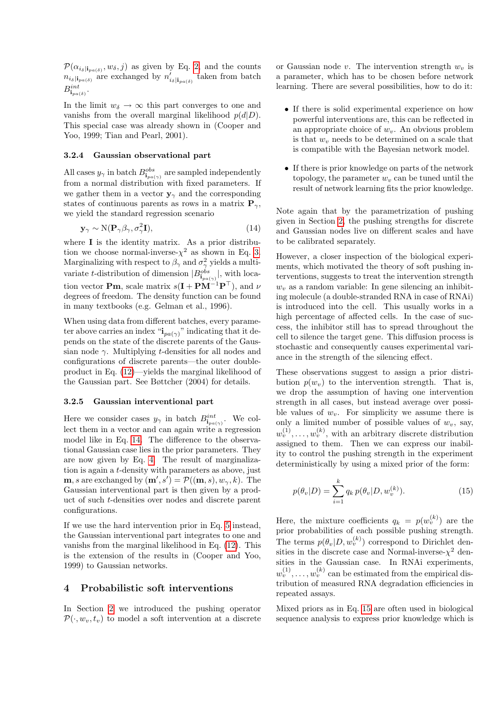$\mathcal{P}(\alpha_{i_{\delta}|\mathbf{i}_{pa(\delta)}}, w_{\delta}, j)$  as given by Eq. [2,](#page-2-1) and the counts  $n_{i_{\delta}|\mathbf{i}_{pa(\delta)}}$  are exchanged by  $n'_{i_{\delta}|\mathbf{i}_{pa(\delta)}}$  taken from batch  $B^{int}_{\mathbf{i}_{pa(\delta)}}.$ 

In the limit  $w_{\delta} \to \infty$  this part converges to one and vanishs from the overall marginal likelihood  $p(d|D)$ . This special case was already shown in (Cooper and Yoo, 1999; Tian and Pearl, 2001).

#### 3.2.4 Gaussian observational part

All cases  $y_{\gamma}$  in batch  $B_{\mathbf{i}_{pa(\gamma)}}^{obs}$  are sampled independently from a normal distribution with fixed parameters. If we gather them in a vector  $y_{\gamma}$  and the corresponding states of continuous parents as rows in a matrix  $P_{\gamma}$ , we yield the standard regression scenario

$$
\mathbf{y}_{\gamma} \sim \mathcal{N}(\mathbf{P}_{\gamma} \beta_{\gamma}, \sigma_{\gamma}^{2} \mathbf{I}),\tag{14}
$$

where I is the identity matrix. As a prior distribution we choose normal-inverse- $\chi^2$  as shown in Eq. [3.](#page-2-3) Marginalizing with respect to  $\beta_{\gamma}$  and  $\sigma_{\gamma}^{2}$  yields a multivariate t-distribution of dimension  $|B_{\mathbf{i}_{pa}(\gamma)}^{obs}|$ , with location vector **Pm**, scale matrix  $s(\mathbf{I} + \mathbf{P}\mathbf{M}^{-1}\mathbf{P}^{\top})$ , and  $\nu$ degrees of freedom. The density function can be found in many textbooks (e.g. Gelman et al., 1996).

When using data from different batches, every parameter above carries an index " $i_{pa(\gamma)}$ " indicating that it depends on the state of the discrete parents of the Gaussian node  $\gamma$ . Multiplying t-densities for all nodes and configurations of discrete parents—the outer doubleproduct in Eq. [\(12\)](#page-4-0)—yields the marginal likelihood of the Gaussian part. See Bøttcher (2004) for details.

#### 3.2.5 Gaussian interventional part

Here we consider cases  $y_{\gamma}$  in batch  $B_{\mathbf{i}_{pa(\gamma)}}^{int}$ . We collect them in a vector and can again write a regression model like in Eq. [14.](#page-5-1) The difference to the observational Gaussian case lies in the prior parameters. They are now given by Eq. [4.](#page-2-2) The result of marginalization is again a t-density with parameters as above, just **m**, *s* are exchanged by  $(\mathbf{m}', s') = \mathcal{P}((\mathbf{m}, s), w_{\gamma}, k)$ . The Gaussian interventional part is then given by a product of such t-densities over nodes and discrete parent configurations.

If we use the hard intervention prior in Eq. [5](#page-2-4) instead, the Gaussian interventional part integrates to one and vanishs from the marginal likelihood in Eq. [\(12\)](#page-4-0). This is the extension of the results in (Cooper and Yoo, 1999) to Gaussian networks.

## <span id="page-5-0"></span>4 Probabilistic soft interventions

In Section [2](#page-1-0) we introduced the pushing operator  $\mathcal{P}(\cdot, w_n, t_n)$  to model a soft intervention at a discrete

or Gaussian node v. The intervention strength  $w<sub>v</sub>$  is a parameter, which has to be chosen before network learning. There are several possibilities, how to do it:

- If there is solid experimental experience on how powerful interventions are, this can be reflected in an appropriate choice of  $w<sub>v</sub>$ . An obvious problem is that  $w<sub>v</sub>$  needs to be determined on a scale that is compatible with the Bayesian network model.
- If there is prior knowledge on parts of the network topology, the parameter  $w<sub>v</sub>$  can be tuned until the result of network learning fits the prior knowledge.

<span id="page-5-1"></span>Note again that by the parametrization of pushing given in Section [2,](#page-1-0) the pushing strengths for discrete and Gaussian nodes live on different scales and have to be calibrated separately.

However, a closer inspection of the biological experiments, which motivated the theory of soft pushing interventions, suggests to treat the intervention strength  $w<sub>v</sub>$  as a random variable: In gene silencing an inhibiting molecule (a double-stranded RNA in case of RNAi) is introduced into the cell. This usually works in a high percentage of affected cells. In the case of success, the inhibitor still has to spread throughout the cell to silence the target gene. This diffusion process is stochastic and consequently causes experimental variance in the strength of the silencing effect.

These observations suggest to assign a prior distribution  $p(w_v)$  to the intervention strength. That is, we drop the assumption of having one intervention strength in all cases, but instead average over possible values of  $w_v$ . For simplicity we assume there is only a limited number of possible values of  $w<sub>v</sub>$ , say,  $w_v^{(1)}, \ldots, w_v^{(k)}$ , with an arbitrary discrete distribution assigned to them. Then we can express our inability to control the pushing strength in the experiment deterministically by using a mixed prior of the form:

<span id="page-5-2"></span>
$$
p(\theta_v|D) = \sum_{i=1}^k q_k \, p(\theta_v|D, w_v^{(k)}).
$$
 (15)

Here, the mixture coefficients  $q_k = p(w_v^{(k)})$  are the prior probabilities of each possible pushing strength. The terms  $p(\theta_v|D, w_v^{(k)})$  correspond to Dirichlet densities in the discrete case and Normal-inverse- $\chi^2$  densities in the Gaussian case. In RNAi experiments,  $w_v^{(1)}, \ldots, w_v^{(k)}$  can be estimated from the empirical distribution of measured RNA degradation efficiencies in repeated assays.

Mixed priors as in Eq. [15](#page-5-2) are often used in biological sequence analysis to express prior knowledge which is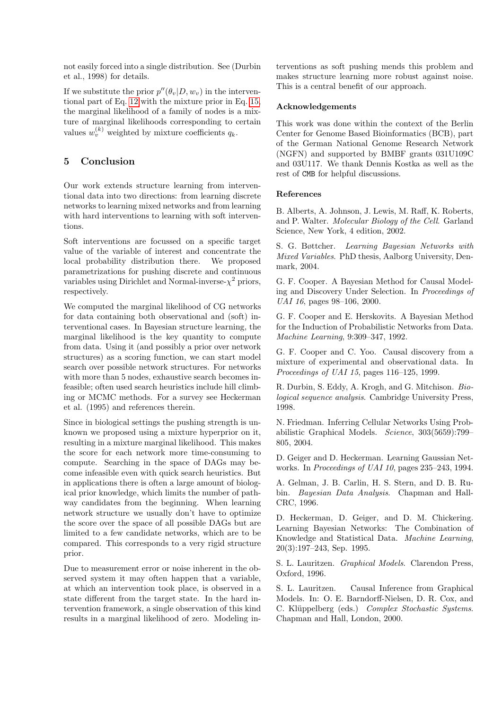not easily forced into a single distribution. See (Durbin et al., 1998) for details.

If we substitute the prior  $p''(\theta_v|D, w_v)$  in the interventional part of Eq. [12](#page-4-0) with the mixture prior in Eq. [15,](#page-5-2) the marginal likelihood of a family of nodes is a mixture of marginal likelihoods corresponding to certain values  $w_v^{(k)}$  weighted by mixture coefficients  $q_k$ .

## 5 Conclusion

Our work extends structure learning from interventional data into two directions: from learning discrete networks to learning mixed networks and from learning with hard interventions to learning with soft interventions.

Soft interventions are focussed on a specific target value of the variable of interest and concentrate the local probability distribution there. We proposed parametrizations for pushing discrete and continuous variables using Dirichlet and Normal-inverse- $\chi^2$  priors, respectively.

We computed the marginal likelihood of CG networks for data containing both observational and (soft) interventional cases. In Bayesian structure learning, the marginal likelihood is the key quantity to compute from data. Using it (and possibly a prior over network structures) as a scoring function, we can start model search over possible network structures. For networks with more than 5 nodes, exhaustive search becomes infeasible; often used search heuristics include hill climbing or MCMC methods. For a survey see Heckerman et al. (1995) and references therein.

Since in biological settings the pushing strength is unknown we proposed using a mixture hyperprior on it, resulting in a mixture marginal likelihood. This makes the score for each network more time-consuming to compute. Searching in the space of DAGs may become infeasible even with quick search heuristics. But in applications there is often a large amount of biological prior knowledge, which limits the number of pathway candidates from the beginning. When learning network structure we usually don't have to optimize the score over the space of all possible DAGs but are limited to a few candidate networks, which are to be compared. This corresponds to a very rigid structure prior.

Due to measurement error or noise inherent in the observed system it may often happen that a variable, at which an intervention took place, is observed in a state different from the target state. In the hard intervention framework, a single observation of this kind results in a marginal likelihood of zero. Modeling interventions as soft pushing mends this problem and makes structure learning more robust against noise. This is a central benefit of our approach.

## Acknowledgements

This work was done within the context of the Berlin Center for Genome Based Bioinformatics (BCB), part of the German National Genome Research Network (NGFN) and supported by BMBF grants 031U109C and 03U117. We thank Dennis Kostka as well as the rest of CMB for helpful discussions.

### References

B. Alberts, A. Johnson, J. Lewis, M. Raff, K. Roberts, and P. Walter. Molecular Biology of the Cell. Garland Science, New York, 4 edition, 2002.

S. G. Bøttcher. Learning Bayesian Networks with Mixed Variables. PhD thesis, Aalborg University, Denmark, 2004.

G. F. Cooper. A Bayesian Method for Causal Modeling and Discovery Under Selection. In Proceedings of UAI 16, pages 98–106, 2000.

G. F. Cooper and E. Herskovits. A Bayesian Method for the Induction of Probabilistic Networks from Data. Machine Learning, 9:309–347, 1992.

G. F. Cooper and C. Yoo. Causal discovery from a mixture of experimental and observational data. In Proceedings of UAI 15, pages 116–125, 1999.

R. Durbin, S. Eddy, A. Krogh, and G. Mitchison. Biological sequence analysis. Cambridge University Press, 1998.

N. Friedman. Inferring Cellular Networks Using Probabilistic Graphical Models. Science, 303(5659):799– 805, 2004.

D. Geiger and D. Heckerman. Learning Gaussian Networks. In Proceedings of UAI 10, pages 235–243, 1994.

A. Gelman, J. B. Carlin, H. S. Stern, and D. B. Rubin. Bayesian Data Analysis. Chapman and Hall-CRC, 1996.

D. Heckerman, D. Geiger, and D. M. Chickering. Learning Bayesian Networks: The Combination of Knowledge and Statistical Data. Machine Learning, 20(3):197–243, Sep. 1995.

S. L. Lauritzen. Graphical Models. Clarendon Press, Oxford, 1996.

S. L. Lauritzen. Causal Inference from Graphical Models. In: O. E. Barndorff-Nielsen, D. R. Cox, and C. Klüppelberg (eds.) Complex Stochastic Systems. Chapman and Hall, London, 2000.